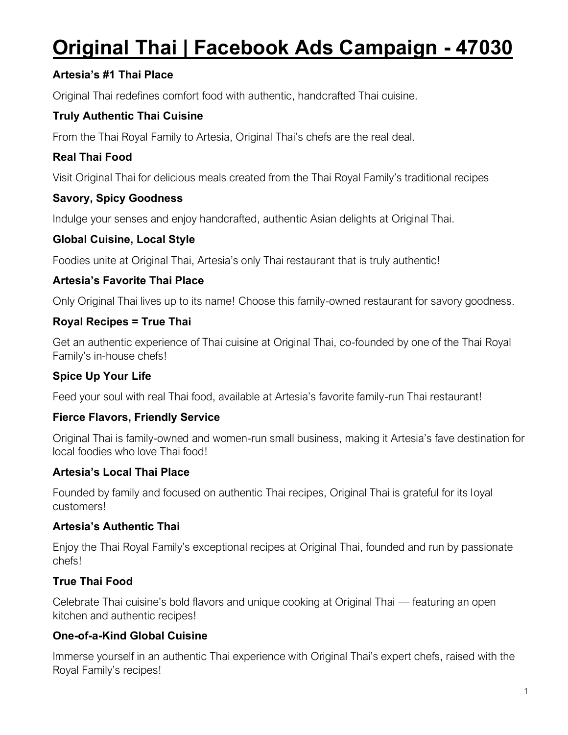# **Original Thai | Facebook Ads Campaign - 47030**

# **Artesia's #1 Thai Place**

Original Thai redefines comfort food with authentic, handcrafted Thai cuisine.

# **Truly Authentic Thai Cuisine**

From the Thai Royal Family to Artesia, Original Thai's chefs are the real deal.

# **Real Thai Food**

Visit Original Thai for delicious meals created from the Thai Royal Family's traditional recipes

#### **Savory, Spicy Goodness**

Indulge your senses and enjoy handcrafted, authentic Asian delights at Original Thai.

## **Global Cuisine, Local Style**

Foodies unite at Original Thai, Artesia's only Thai restaurant that is truly authentic!

## **Artesia's Favorite Thai Place**

Only Original Thai lives up to its name! Choose this family-owned restaurant for savory goodness.

#### **Royal Recipes = True Thai**

Get an authentic experience of Thai cuisine at Original Thai, co-founded by one of the Thai Royal Family's in-house chefs!

## **Spice Up Your Life**

Feed your soul with real Thai food, available at Artesia's favorite family-run Thai restaurant!

## **Fierce Flavors, Friendly Service**

Original Thai is family-owned and women-run small business, making it Artesia's fave destination for local foodies who love Thai food!

#### **Artesia's Local Thai Place**

Founded by family and focused on authentic Thai recipes, Original Thai is grateful for its loyal customers!

#### **Artesia's Authentic Thai**

Enjoy the Thai Royal Family's exceptional recipes at Original Thai, founded and run by passionate chefs!

## **True Thai Food**

Celebrate Thai cuisine's bold flavors and unique cooking at Original Thai — featuring an open kitchen and authentic recipes!

## **One-of-a-Kind Global Cuisine**

Immerse yourself in an authentic Thai experience with Original Thai's expert chefs, raised with the Royal Family's recipes!